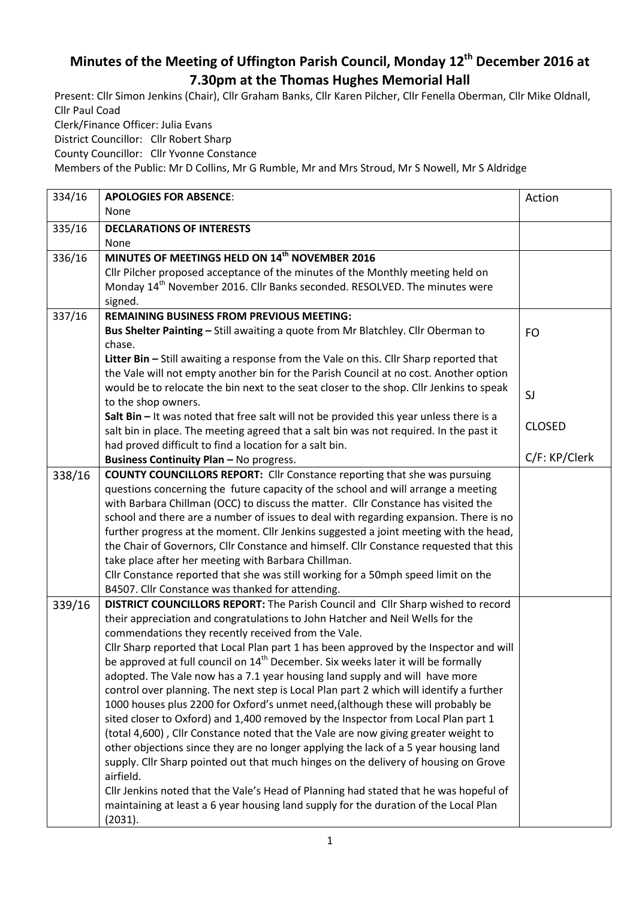## **Minutes of the Meeting of Uffington Parish Council, Monday 12th December 2016 at 7.30pm at the Thomas Hughes Memorial Hall**

Present: Cllr Simon Jenkins (Chair), Cllr Graham Banks, Cllr Karen Pilcher, Cllr Fenella Oberman, Cllr Mike Oldnall, Cllr Paul Coad Clerk/Finance Officer: Julia Evans

District Councillor: Cllr Robert Sharp

County Councillor: Cllr Yvonne Constance

Members of the Public: Mr D Collins, Mr G Rumble, Mr and Mrs Stroud, Mr S Nowell, Mr S Aldridge

| 334/16 | <b>APOLOGIES FOR ABSENCE:</b>                                                                 | Action        |
|--------|-----------------------------------------------------------------------------------------------|---------------|
|        | None                                                                                          |               |
| 335/16 | <b>DECLARATIONS OF INTERESTS</b>                                                              |               |
|        | None                                                                                          |               |
| 336/16 | MINUTES OF MEETINGS HELD ON 14 <sup>th</sup> NOVEMBER 2016                                    |               |
|        | Cllr Pilcher proposed acceptance of the minutes of the Monthly meeting held on                |               |
|        | Monday 14 <sup>th</sup> November 2016. Cllr Banks seconded. RESOLVED. The minutes were        |               |
|        | signed.                                                                                       |               |
| 337/16 | <b>REMAINING BUSINESS FROM PREVIOUS MEETING:</b>                                              |               |
|        | Bus Shelter Painting - Still awaiting a quote from Mr Blatchley. Cllr Oberman to              | <b>FO</b>     |
|        | chase.                                                                                        |               |
|        | Litter Bin - Still awaiting a response from the Vale on this. Cllr Sharp reported that        |               |
|        | the Vale will not empty another bin for the Parish Council at no cost. Another option         |               |
|        | would be to relocate the bin next to the seat closer to the shop. Cllr Jenkins to speak       | SJ            |
|        | to the shop owners.                                                                           |               |
|        | Salt Bin - It was noted that free salt will not be provided this year unless there is a       |               |
|        | salt bin in place. The meeting agreed that a salt bin was not required. In the past it        | <b>CLOSED</b> |
|        | had proved difficult to find a location for a salt bin.                                       |               |
|        | <b>Business Continuity Plan - No progress.</b>                                                | C/F: KP/Clerk |
| 338/16 | <b>COUNTY COUNCILLORS REPORT:</b> Cllr Constance reporting that she was pursuing              |               |
|        | questions concerning the future capacity of the school and will arrange a meeting             |               |
|        | with Barbara Chillman (OCC) to discuss the matter. Cllr Constance has visited the             |               |
|        | school and there are a number of issues to deal with regarding expansion. There is no         |               |
|        | further progress at the moment. Cllr Jenkins suggested a joint meeting with the head,         |               |
|        | the Chair of Governors, Cllr Constance and himself. Cllr Constance requested that this        |               |
|        | take place after her meeting with Barbara Chillman.                                           |               |
|        | Cllr Constance reported that she was still working for a 50mph speed limit on the             |               |
|        | B4507. Cllr Constance was thanked for attending.                                              |               |
| 339/16 | DISTRICT COUNCILLORS REPORT: The Parish Council and Cllr Sharp wished to record               |               |
|        | their appreciation and congratulations to John Hatcher and Neil Wells for the                 |               |
|        | commendations they recently received from the Vale.                                           |               |
|        | Cllr Sharp reported that Local Plan part 1 has been approved by the Inspector and will        |               |
|        | be approved at full council on 14 <sup>th</sup> December. Six weeks later it will be formally |               |
|        | adopted. The Vale now has a 7.1 year housing land supply and will have more                   |               |
|        | control over planning. The next step is Local Plan part 2 which will identify a further       |               |
|        | 1000 houses plus 2200 for Oxford's unmet need, (although these will probably be               |               |
|        | sited closer to Oxford) and 1,400 removed by the Inspector from Local Plan part 1             |               |
|        | (total 4,600), Cllr Constance noted that the Vale are now giving greater weight to            |               |
|        | other objections since they are no longer applying the lack of a 5 year housing land          |               |
|        | supply. Cllr Sharp pointed out that much hinges on the delivery of housing on Grove           |               |
|        | airfield.                                                                                     |               |
|        | Cllr Jenkins noted that the Vale's Head of Planning had stated that he was hopeful of         |               |
|        | maintaining at least a 6 year housing land supply for the duration of the Local Plan          |               |
|        | (2031).                                                                                       |               |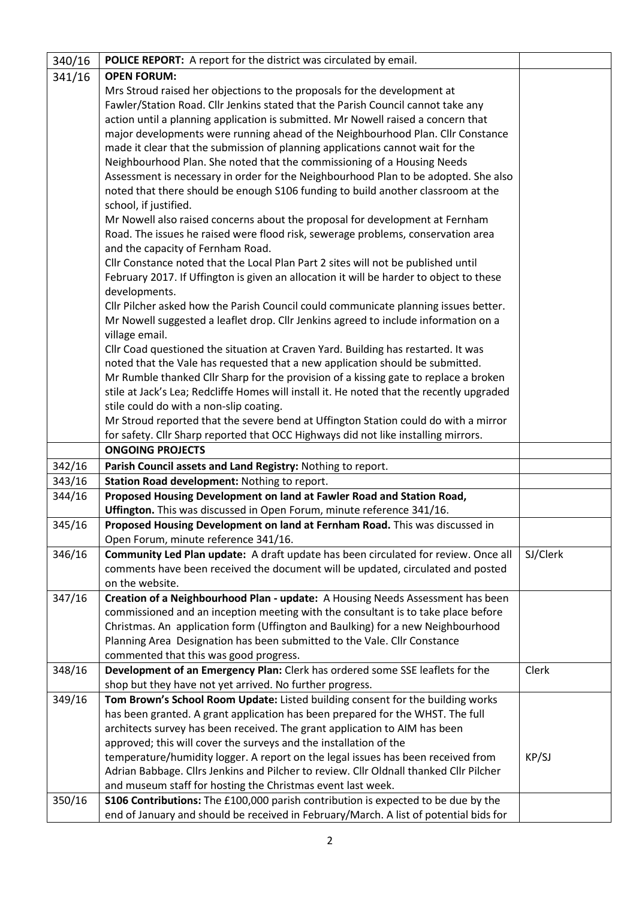| 340/16 | POLICE REPORT: A report for the district was circulated by email.                                 |          |
|--------|---------------------------------------------------------------------------------------------------|----------|
| 341/16 | <b>OPEN FORUM:</b>                                                                                |          |
|        | Mrs Stroud raised her objections to the proposals for the development at                          |          |
|        | Fawler/Station Road. Cllr Jenkins stated that the Parish Council cannot take any                  |          |
|        | action until a planning application is submitted. Mr Nowell raised a concern that                 |          |
|        | major developments were running ahead of the Neighbourhood Plan. Cllr Constance                   |          |
|        | made it clear that the submission of planning applications cannot wait for the                    |          |
|        | Neighbourhood Plan. She noted that the commissioning of a Housing Needs                           |          |
|        | Assessment is necessary in order for the Neighbourhood Plan to be adopted. She also               |          |
|        | noted that there should be enough S106 funding to build another classroom at the                  |          |
|        | school, if justified.                                                                             |          |
|        | Mr Nowell also raised concerns about the proposal for development at Fernham                      |          |
|        | Road. The issues he raised were flood risk, sewerage problems, conservation area                  |          |
|        | and the capacity of Fernham Road.                                                                 |          |
|        | Cllr Constance noted that the Local Plan Part 2 sites will not be published until                 |          |
|        | February 2017. If Uffington is given an allocation it will be harder to object to these           |          |
|        | developments.                                                                                     |          |
|        | Cllr Pilcher asked how the Parish Council could communicate planning issues better.               |          |
|        | Mr Nowell suggested a leaflet drop. Cllr Jenkins agreed to include information on a               |          |
|        | village email.                                                                                    |          |
|        | Cllr Coad questioned the situation at Craven Yard. Building has restarted. It was                 |          |
|        | noted that the Vale has requested that a new application should be submitted.                     |          |
|        | Mr Rumble thanked Cllr Sharp for the provision of a kissing gate to replace a broken              |          |
|        | stile at Jack's Lea; Redcliffe Homes will install it. He noted that the recently upgraded         |          |
|        | stile could do with a non-slip coating.                                                           |          |
|        | Mr Stroud reported that the severe bend at Uffington Station could do with a mirror               |          |
|        | for safety. Cllr Sharp reported that OCC Highways did not like installing mirrors.                |          |
|        | <b>ONGOING PROJECTS</b>                                                                           |          |
| 342/16 | Parish Council assets and Land Registry: Nothing to report.                                       |          |
| 343/16 | Station Road development: Nothing to report.                                                      |          |
| 344/16 | Proposed Housing Development on land at Fawler Road and Station Road,                             |          |
|        | Uffington. This was discussed in Open Forum, minute reference 341/16.                             |          |
| 345/16 | Proposed Housing Development on land at Fernham Road. This was discussed in                       |          |
|        | Open Forum, minute reference 341/16.                                                              |          |
| 346/16 | Community Led Plan update: A draft update has been circulated for review. Once all                | SJ/Clerk |
|        | comments have been received the document will be updated, circulated and posted                   |          |
|        | on the website.<br>Creation of a Neighbourhood Plan - update: A Housing Needs Assessment has been |          |
| 347/16 | commissioned and an inception meeting with the consultant is to take place before                 |          |
|        | Christmas. An application form (Uffington and Baulking) for a new Neighbourhood                   |          |
|        | Planning Area Designation has been submitted to the Vale. Cllr Constance                          |          |
|        | commented that this was good progress.                                                            |          |
| 348/16 | Development of an Emergency Plan: Clerk has ordered some SSE leaflets for the                     | Clerk    |
|        | shop but they have not yet arrived. No further progress.                                          |          |
| 349/16 | Tom Brown's School Room Update: Listed building consent for the building works                    |          |
|        | has been granted. A grant application has been prepared for the WHST. The full                    |          |
|        | architects survey has been received. The grant application to AIM has been                        |          |
|        | approved; this will cover the surveys and the installation of the                                 |          |
|        | temperature/humidity logger. A report on the legal issues has been received from                  | KP/SJ    |
|        | Adrian Babbage. Cllrs Jenkins and Pilcher to review. Cllr Oldnall thanked Cllr Pilcher            |          |
|        | and museum staff for hosting the Christmas event last week.                                       |          |
| 350/16 | S106 Contributions: The £100,000 parish contribution is expected to be due by the                 |          |
|        | end of January and should be received in February/March. A list of potential bids for             |          |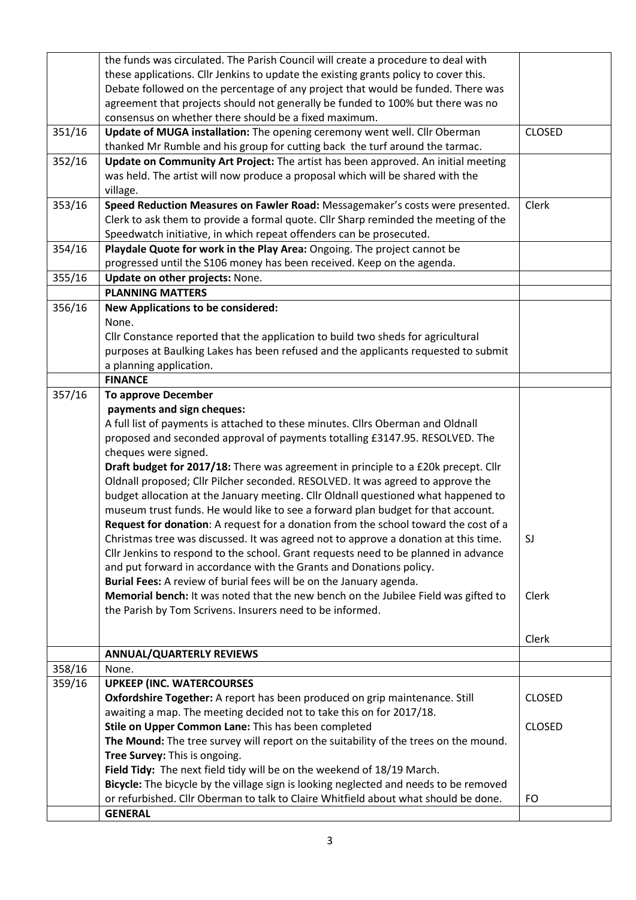|        | the funds was circulated. The Parish Council will create a procedure to deal with                                                                   |               |
|--------|-----------------------------------------------------------------------------------------------------------------------------------------------------|---------------|
|        | these applications. Cllr Jenkins to update the existing grants policy to cover this.                                                                |               |
|        | Debate followed on the percentage of any project that would be funded. There was                                                                    |               |
|        | agreement that projects should not generally be funded to 100% but there was no                                                                     |               |
|        | consensus on whether there should be a fixed maximum.                                                                                               |               |
| 351/16 | Update of MUGA installation: The opening ceremony went well. Cllr Oberman                                                                           | <b>CLOSED</b> |
|        | thanked Mr Rumble and his group for cutting back the turf around the tarmac.                                                                        |               |
| 352/16 | Update on Community Art Project: The artist has been approved. An initial meeting                                                                   |               |
|        | was held. The artist will now produce a proposal which will be shared with the                                                                      |               |
|        | village.                                                                                                                                            |               |
| 353/16 | Speed Reduction Measures on Fawler Road: Messagemaker's costs were presented.                                                                       | Clerk         |
|        | Clerk to ask them to provide a formal quote. Cllr Sharp reminded the meeting of the                                                                 |               |
|        | Speedwatch initiative, in which repeat offenders can be prosecuted.                                                                                 |               |
| 354/16 | Playdale Quote for work in the Play Area: Ongoing. The project cannot be                                                                            |               |
|        | progressed until the S106 money has been received. Keep on the agenda.                                                                              |               |
| 355/16 | Update on other projects: None.                                                                                                                     |               |
|        | <b>PLANNING MATTERS</b>                                                                                                                             |               |
| 356/16 | <b>New Applications to be considered:</b>                                                                                                           |               |
|        | None.                                                                                                                                               |               |
|        | Cllr Constance reported that the application to build two sheds for agricultural                                                                    |               |
|        | purposes at Baulking Lakes has been refused and the applicants requested to submit                                                                  |               |
|        | a planning application.                                                                                                                             |               |
|        | <b>FINANCE</b>                                                                                                                                      |               |
| 357/16 | <b>To approve December</b>                                                                                                                          |               |
|        | payments and sign cheques:                                                                                                                          |               |
|        | A full list of payments is attached to these minutes. Cllrs Oberman and Oldnall                                                                     |               |
|        | proposed and seconded approval of payments totalling £3147.95. RESOLVED. The                                                                        |               |
|        | cheques were signed.                                                                                                                                |               |
|        | Draft budget for 2017/18: There was agreement in principle to a £20k precept. Cllr                                                                  |               |
|        | Oldnall proposed; Cllr Pilcher seconded. RESOLVED. It was agreed to approve the                                                                     |               |
|        | budget allocation at the January meeting. Cllr Oldnall questioned what happened to                                                                  |               |
|        | museum trust funds. He would like to see a forward plan budget for that account.                                                                    |               |
|        | Request for donation: A request for a donation from the school toward the cost of a                                                                 |               |
|        | Christmas tree was discussed. It was agreed not to approve a donation at this time.                                                                 | SJ            |
|        | Cllr Jenkins to respond to the school. Grant requests need to be planned in advance                                                                 |               |
|        | and put forward in accordance with the Grants and Donations policy.                                                                                 |               |
|        | Burial Fees: A review of burial fees will be on the January agenda.                                                                                 |               |
|        | Memorial bench: It was noted that the new bench on the Jubilee Field was gifted to                                                                  | Clerk         |
|        | the Parish by Tom Scrivens. Insurers need to be informed.                                                                                           |               |
|        |                                                                                                                                                     |               |
|        |                                                                                                                                                     | Clerk         |
|        | <b>ANNUAL/QUARTERLY REVIEWS</b>                                                                                                                     |               |
| 358/16 | None.                                                                                                                                               |               |
| 359/16 | <b>UPKEEP (INC. WATERCOURSES)</b>                                                                                                                   |               |
|        | Oxfordshire Together: A report has been produced on grip maintenance. Still<br>awaiting a map. The meeting decided not to take this on for 2017/18. | <b>CLOSED</b> |
|        |                                                                                                                                                     | <b>CLOSED</b> |
|        | Stile on Upper Common Lane: This has been completed                                                                                                 |               |
|        | The Mound: The tree survey will report on the suitability of the trees on the mound.                                                                |               |
|        | Tree Survey: This is ongoing.<br>Field Tidy: The next field tidy will be on the weekend of 18/19 March.                                             |               |
|        | Bicycle: The bicycle by the village sign is looking neglected and needs to be removed                                                               |               |
|        | or refurbished. Cllr Oberman to talk to Claire Whitfield about what should be done.                                                                 | <b>FO</b>     |
|        | <b>GENERAL</b>                                                                                                                                      |               |
|        |                                                                                                                                                     |               |